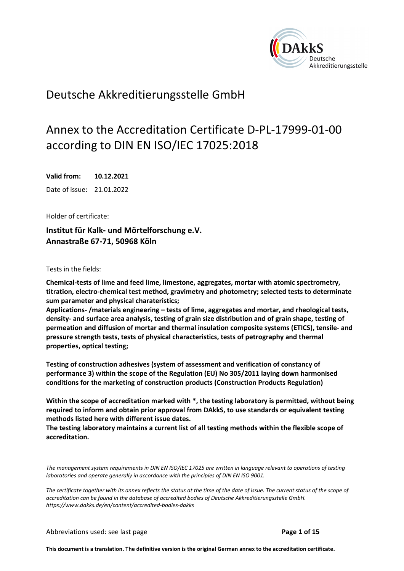

## Deutsche Akkreditierungsstelle GmbH

# Annex to the Accreditation Certificate D-PL-17999-01-00 according to DIN EN ISO/IEC 17025:2018

**Valid from: 10.12.2021**  Date of issue: 21.01.2022

Holder of certificate:

**Institut für Kalk- und Mörtelforschung e.V. Annastraße 67-71, 50968 Köln** 

Tests in the fields:

**Chemical-tests of lime and feed lime, limestone, aggregates, mortar with atomic spectrometry, titration, electro-chemical test method, gravimetry and photometry; selected tests to determinate sum parameter and physical charateristics;** 

**Applications- /materials engineering – tests of lime, aggregates and mortar, and rheological tests, density- and surface area analysis, testing of grain size distribution and of grain shape, testing of permeation and diffusion of mortar and thermal insulation composite systems (ETICS), tensile- and pressure strength tests, tests of physical characteristics, tests of petrography and thermal properties, optical testing;** 

**Testing of construction adhesives (system of assessment and verification of constancy of performance 3) within the scope of the Regulation (EU) No 305/2011 laying down harmonised conditions for the marketing of construction products (Construction Products Regulation)**

**Within the scope of accreditation marked with \*, the testing laboratory is permitted, without being required to inform and obtain prior approval from DAkkS, to use standards or equivalent testing methods listed here with different issue dates.** 

**The testing laboratory maintains a current list of all testing methods within the flexible scope of accreditation.**

*The management system requirements in DIN EN ISO/IEC 17025 are written in language relevant to operations of testing laboratories and operate generally in accordance with the principles of DIN EN ISO 9001.* 

*The certificate together with its annex reflects the status at the time of the date of issue. The current status of the scope of accreditation can be found in the database of accredited bodies of Deutsche Akkreditierungsstelle GmbH. https://www.dakks.de/en/content/accredited-bodies-dakks* 

Abbreviations used: see last page **Page 1 of 15** 

**This document is a translation. The definitive version is the original German annex to the accreditation certificate.**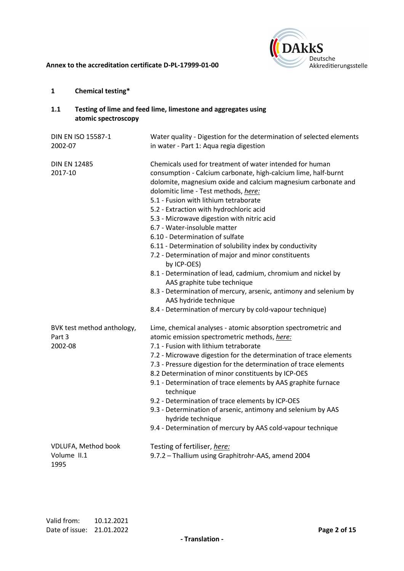

## **1 Chemical testing\***

| 1.1                            | atomic spectroscopy        | Testing of lime and feed lime, limestone and aggregates using                                                                                                                                                                                                                                                                                                                                                                                                                                                                                                                                                                                                                                                                                                                                                                       |
|--------------------------------|----------------------------|-------------------------------------------------------------------------------------------------------------------------------------------------------------------------------------------------------------------------------------------------------------------------------------------------------------------------------------------------------------------------------------------------------------------------------------------------------------------------------------------------------------------------------------------------------------------------------------------------------------------------------------------------------------------------------------------------------------------------------------------------------------------------------------------------------------------------------------|
| 2002-07                        | DIN EN ISO 15587-1         | Water quality - Digestion for the determination of selected elements<br>in water - Part 1: Aqua regia digestion                                                                                                                                                                                                                                                                                                                                                                                                                                                                                                                                                                                                                                                                                                                     |
| <b>DIN EN 12485</b><br>2017-10 |                            | Chemicals used for treatment of water intended for human<br>consumption - Calcium carbonate, high-calcium lime, half-burnt<br>dolomite, magnesium oxide and calcium magnesium carbonate and<br>dolomitic lime - Test methods, here:<br>5.1 - Fusion with lithium tetraborate<br>5.2 - Extraction with hydrochloric acid<br>5.3 - Microwave digestion with nitric acid<br>6.7 - Water-insoluble matter<br>6.10 - Determination of sulfate<br>6.11 - Determination of solubility index by conductivity<br>7.2 - Determination of major and minor constituents<br>by ICP-OES)<br>8.1 - Determination of lead, cadmium, chromium and nickel by<br>AAS graphite tube technique<br>8.3 - Determination of mercury, arsenic, antimony and selenium by<br>AAS hydride technique<br>8.4 - Determination of mercury by cold-vapour technique) |
| Part 3<br>2002-08              | BVK test method anthology, | Lime, chemical analyses - atomic absorption spectrometric and<br>atomic emission spectrometric methods, here:<br>7.1 - Fusion with lithium tetraborate<br>7.2 - Microwave digestion for the determination of trace elements<br>7.3 - Pressure digestion for the determination of trace elements<br>8.2 Determination of minor constituents by ICP-OES<br>9.1 - Determination of trace elements by AAS graphite furnace<br>technique<br>9.2 - Determination of trace elements by ICP-OES<br>9.3 - Determination of arsenic, antimony and selenium by AAS<br>hydride technique<br>9.4 - Determination of mercury by AAS cold-vapour technique                                                                                                                                                                                         |
| Volume II.1<br>1995            | VDLUFA, Method book        | Testing of fertiliser, here:<br>9.7.2 - Thallium using Graphitrohr-AAS, amend 2004                                                                                                                                                                                                                                                                                                                                                                                                                                                                                                                                                                                                                                                                                                                                                  |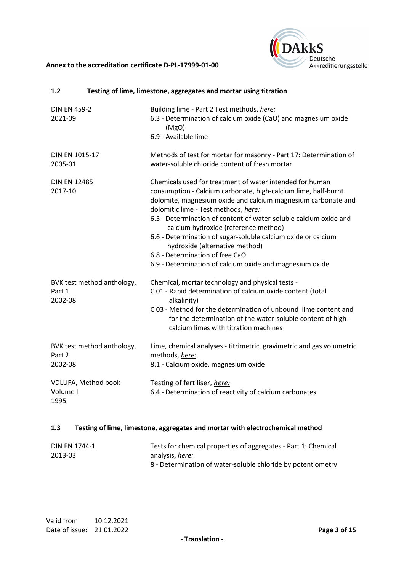

| 1.2                                             | Testing of lime, limestone, aggregates and mortar using titration                                                                                                                                                                                                                                                                                                                                                                                                                                                                                  |
|-------------------------------------------------|----------------------------------------------------------------------------------------------------------------------------------------------------------------------------------------------------------------------------------------------------------------------------------------------------------------------------------------------------------------------------------------------------------------------------------------------------------------------------------------------------------------------------------------------------|
| <b>DIN EN 459-2</b><br>2021-09                  | Building lime - Part 2 Test methods, here:<br>6.3 - Determination of calcium oxide (CaO) and magnesium oxide<br>(MgO)<br>6.9 - Available lime                                                                                                                                                                                                                                                                                                                                                                                                      |
| DIN EN 1015-17<br>2005-01                       | Methods of test for mortar for masonry - Part 17: Determination of<br>water-soluble chloride content of fresh mortar                                                                                                                                                                                                                                                                                                                                                                                                                               |
| <b>DIN EN 12485</b><br>2017-10                  | Chemicals used for treatment of water intended for human<br>consumption - Calcium carbonate, high-calcium lime, half-burnt<br>dolomite, magnesium oxide and calcium magnesium carbonate and<br>dolomitic lime - Test methods, here:<br>6.5 - Determination of content of water-soluble calcium oxide and<br>calcium hydroxide (reference method)<br>6.6 - Determination of sugar-soluble calcium oxide or calcium<br>hydroxide (alternative method)<br>6.8 - Determination of free CaO<br>6.9 - Determination of calcium oxide and magnesium oxide |
| BVK test method anthology,<br>Part 1<br>2002-08 | Chemical, mortar technology and physical tests -<br>C01 - Rapid determination of calcium oxide content (total<br>alkalinity)<br>C03 - Method for the determination of unbound lime content and<br>for the determination of the water-soluble content of high-<br>calcium limes with titration machines                                                                                                                                                                                                                                             |
| BVK test method anthology,<br>Part 2<br>2002-08 | Lime, chemical analyses - titrimetric, gravimetric and gas volumetric<br>methods, here:<br>8.1 - Calcium oxide, magnesium oxide                                                                                                                                                                                                                                                                                                                                                                                                                    |
| VDLUFA, Method book<br>Volume I<br>1995         | Testing of fertiliser, here:<br>6.4 - Determination of reactivity of calcium carbonates                                                                                                                                                                                                                                                                                                                                                                                                                                                            |

## **1.3 Testing of lime, limestone, aggregates and mortar with electrochemical method**

| DIN FN 1744-1 | Tests for chemical properties of aggregates - Part 1: Chemical |
|---------------|----------------------------------------------------------------|
| 2013-03       | analysis, <i>here:</i>                                         |
|               | 8 - Determination of water-soluble chloride by potentiometry   |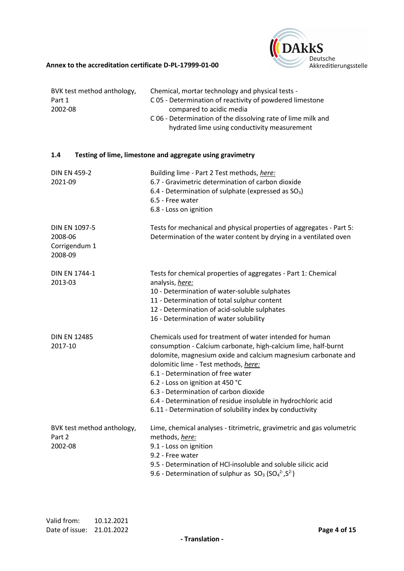

| BVK test method anthology,<br>Part 1<br>2002-08             | Chemical, mortar technology and physical tests -<br>C05 - Determination of reactivity of powdered limestone<br>compared to acidic media<br>C06 - Determination of the dissolving rate of lime milk and<br>hydrated lime using conductivity measurement                                                                                                                                                                                                                             |
|-------------------------------------------------------------|------------------------------------------------------------------------------------------------------------------------------------------------------------------------------------------------------------------------------------------------------------------------------------------------------------------------------------------------------------------------------------------------------------------------------------------------------------------------------------|
| 1.4                                                         | Testing of lime, limestone and aggregate using gravimetry                                                                                                                                                                                                                                                                                                                                                                                                                          |
| <b>DIN EN 459-2</b><br>2021-09                              | Building lime - Part 2 Test methods, here:<br>6.7 - Gravimetric determination of carbon dioxide<br>6.4 - Determination of sulphate (expressed as SO <sub>3</sub> )<br>6.5 - Free water<br>6.8 - Loss on ignition                                                                                                                                                                                                                                                                   |
| <b>DIN EN 1097-5</b><br>2008-06<br>Corrigendum 1<br>2008-09 | Tests for mechanical and physical properties of aggregates - Part 5:<br>Determination of the water content by drying in a ventilated oven                                                                                                                                                                                                                                                                                                                                          |
| <b>DIN EN 1744-1</b><br>2013-03                             | Tests for chemical properties of aggregates - Part 1: Chemical<br>analysis, here:<br>10 - Determination of water-soluble sulphates<br>11 - Determination of total sulphur content<br>12 - Determination of acid-soluble sulphates<br>16 - Determination of water solubility                                                                                                                                                                                                        |
| <b>DIN EN 12485</b><br>2017-10                              | Chemicals used for treatment of water intended for human<br>consumption - Calcium carbonate, high-calcium lime, half-burnt<br>dolomite, magnesium oxide and calcium magnesium carbonate and<br>dolomitic lime - Test methods, here:<br>6.1 - Determination of free water<br>6.2 - Loss on ignition at 450 °C<br>6.3 - Determination of carbon dioxide<br>6.4 - Determination of residue insoluble in hydrochloric acid<br>6.11 - Determination of solubility index by conductivity |
| BVK test method anthology,<br>Part 2<br>2002-08             | Lime, chemical analyses - titrimetric, gravimetric and gas volumetric<br>methods, here:<br>9.1 - Loss on ignition<br>9.2 - Free water<br>9.5 - Determination of HCI-insoluble and soluble silicic acid<br>9.6 - Determination of sulphur as $SO_3(SO_4^2, S^2)$                                                                                                                                                                                                                    |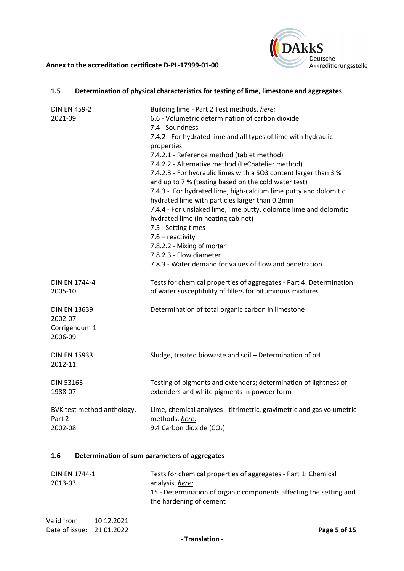

## **1.5 Determination of physical characteristics for testing of lime, limestone and aggregates**

| <b>DIN EN 459-2</b><br>2021-09                             | Building lime - Part 2 Test methods, here:<br>6.6 - Volumetric determination of carbon dioxide<br>7.4 - Soundness<br>7.4.2 - For hydrated lime and all types of lime with hydraulic<br>properties<br>7.4.2.1 - Reference method (tablet method)<br>7.4.2.2 - Alternative method (LeChatelier method)<br>7.4.2.3 - For hydraulic limes with a SO3 content larger than 3 %<br>and up to 7 % (testing based on the cold water test)<br>7.4.3 - For hydrated lime, high-calcium lime putty and dolomitic<br>hydrated lime with particles larger than 0.2mm<br>7.4.4 - For unslaked lime, lime putty, dolomite lime and dolomitic<br>hydrated lime (in heating cabinet)<br>7.5 - Setting times<br>$7.6$ – reactivity<br>7.8.2.2 - Mixing of mortar<br>7.8.2.3 - Flow diameter<br>7.8.3 - Water demand for values of flow and penetration |
|------------------------------------------------------------|-------------------------------------------------------------------------------------------------------------------------------------------------------------------------------------------------------------------------------------------------------------------------------------------------------------------------------------------------------------------------------------------------------------------------------------------------------------------------------------------------------------------------------------------------------------------------------------------------------------------------------------------------------------------------------------------------------------------------------------------------------------------------------------------------------------------------------------|
| <b>DIN EN 1744-4</b>                                       | Tests for chemical properties of aggregates - Part 4: Determination                                                                                                                                                                                                                                                                                                                                                                                                                                                                                                                                                                                                                                                                                                                                                                 |
| 2005-10                                                    | of water susceptibility of fillers for bituminous mixtures                                                                                                                                                                                                                                                                                                                                                                                                                                                                                                                                                                                                                                                                                                                                                                          |
| <b>DIN EN 13639</b><br>2002-07<br>Corrigendum 1<br>2006-09 | Determination of total organic carbon in limestone                                                                                                                                                                                                                                                                                                                                                                                                                                                                                                                                                                                                                                                                                                                                                                                  |
| <b>DIN EN 15933</b><br>2012-11                             | Sludge, treated biowaste and soil - Determination of pH                                                                                                                                                                                                                                                                                                                                                                                                                                                                                                                                                                                                                                                                                                                                                                             |
| <b>DIN 53163</b>                                           | Testing of pigments and extenders; determination of lightness of                                                                                                                                                                                                                                                                                                                                                                                                                                                                                                                                                                                                                                                                                                                                                                    |
| 1988-07                                                    | extenders and white pigments in powder form                                                                                                                                                                                                                                                                                                                                                                                                                                                                                                                                                                                                                                                                                                                                                                                         |
| BVK test method anthology,                                 | Lime, chemical analyses - titrimetric, gravimetric and gas volumetric                                                                                                                                                                                                                                                                                                                                                                                                                                                                                                                                                                                                                                                                                                                                                               |
| Part 2                                                     | methods, here:                                                                                                                                                                                                                                                                                                                                                                                                                                                                                                                                                                                                                                                                                                                                                                                                                      |
| 2002-08                                                    | 9.4 Carbon dioxide (CO <sub>2</sub> )                                                                                                                                                                                                                                                                                                                                                                                                                                                                                                                                                                                                                                                                                                                                                                                               |

#### **1.6 Determination of sum parameters of aggregates**

| DIN EN 1744-1 | Tests for chemical properties of aggregates - Part 1: Chemical                                |
|---------------|-----------------------------------------------------------------------------------------------|
| 2013-03       | analysis, <i>here:</i>                                                                        |
|               | 15 - Determination of organic components affecting the setting and<br>the hardening of cement |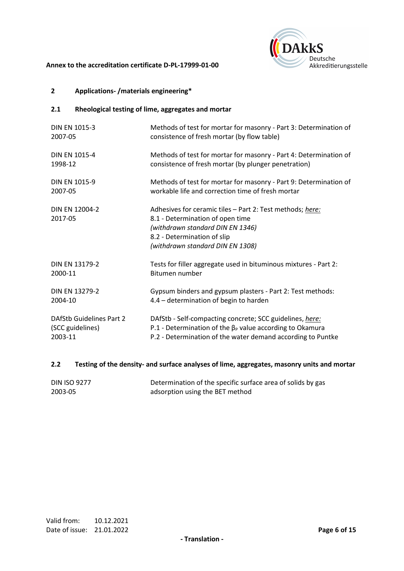

## **2 Applications- /materials engineering\***

## **2.1 Rheological testing of lime, aggregates and mortar**

| <b>DIN EN 1015-3</b>            | Methods of test for mortar for masonry - Part 3: Determination of                                                                                                                                    |
|---------------------------------|------------------------------------------------------------------------------------------------------------------------------------------------------------------------------------------------------|
| 2007-05                         | consistence of fresh mortar (by flow table)                                                                                                                                                          |
| <b>DIN EN 1015-4</b>            | Methods of test for mortar for masonry - Part 4: Determination of                                                                                                                                    |
| 1998-12                         | consistence of fresh mortar (by plunger penetration)                                                                                                                                                 |
| <b>DIN EN 1015-9</b>            | Methods of test for mortar for masonry - Part 9: Determination of                                                                                                                                    |
| 2007-05                         | workable life and correction time of fresh mortar                                                                                                                                                    |
| DIN EN 12004-2<br>2017-05       | Adhesives for ceramic tiles - Part 2: Test methods; here:<br>8.1 - Determination of open time<br>(withdrawn standard DIN EN 1346)<br>8.2 - Determination of slip<br>(withdrawn standard DIN EN 1308) |
| DIN EN 13179-2                  | Tests for filler aggregate used in bituminous mixtures - Part 2:                                                                                                                                     |
| 2000-11                         | Bitumen number                                                                                                                                                                                       |
| <b>DIN EN 13279-2</b>           | Gypsum binders and gypsum plasters - Part 2: Test methods:                                                                                                                                           |
| 2004-10                         | 4.4 – determination of begin to harden                                                                                                                                                               |
| <b>DAfStb Guidelines Part 2</b> | DAfStb - Self-compacting concrete; SCC guidelines, here:                                                                                                                                             |
| (SCC guidelines)                | P.1 - Determination of the $\beta_P$ value according to Okamura                                                                                                                                      |
| 2003-11                         | P.2 - Determination of the water demand according to Puntke                                                                                                                                          |

#### **2.2 Testing of the density- and surface analyses of lime, aggregates, masonry units and mortar**

| <b>DIN ISO 9277</b> | Determination of the specific surface area of solids by gas |
|---------------------|-------------------------------------------------------------|
| 2003-05             | adsorption using the BET method                             |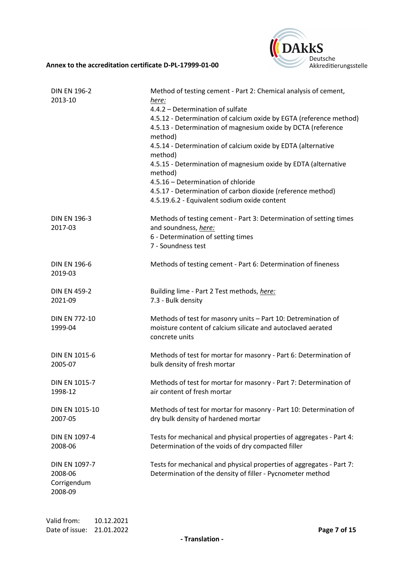

| <b>DIN EN 196-2</b><br>2013-10                     | Method of testing cement - Part 2: Chemical analysis of cement,<br><u>here:</u><br>4.4.2 - Determination of sulfate<br>4.5.12 - Determination of calcium oxide by EGTA (reference method)<br>4.5.13 - Determination of magnesium oxide by DCTA (reference<br>method)<br>4.5.14 - Determination of calcium oxide by EDTA (alternative<br>method)<br>4.5.15 - Determination of magnesium oxide by EDTA (alternative<br>method)<br>4.5.16 - Determination of chloride<br>4.5.17 - Determination of carbon dioxide (reference method)<br>4.5.19.6.2 - Equivalent sodium oxide content |
|----------------------------------------------------|-----------------------------------------------------------------------------------------------------------------------------------------------------------------------------------------------------------------------------------------------------------------------------------------------------------------------------------------------------------------------------------------------------------------------------------------------------------------------------------------------------------------------------------------------------------------------------------|
| <b>DIN EN 196-3</b><br>2017-03                     | Methods of testing cement - Part 3: Determination of setting times<br>and soundness, here:<br>6 - Determination of setting times<br>7 - Soundness test                                                                                                                                                                                                                                                                                                                                                                                                                            |
| <b>DIN EN 196-6</b><br>2019-03                     | Methods of testing cement - Part 6: Determination of fineness                                                                                                                                                                                                                                                                                                                                                                                                                                                                                                                     |
| <b>DIN EN 459-2</b>                                | Building lime - Part 2 Test methods, here:                                                                                                                                                                                                                                                                                                                                                                                                                                                                                                                                        |
| 2021-09                                            | 7.3 - Bulk density                                                                                                                                                                                                                                                                                                                                                                                                                                                                                                                                                                |
| <b>DIN EN 772-10</b><br>1999-04                    | Methods of test for masonry units - Part 10: Detremination of<br>moisture content of calcium silicate and autoclaved aerated<br>concrete units                                                                                                                                                                                                                                                                                                                                                                                                                                    |
| <b>DIN EN 1015-6</b>                               | Methods of test for mortar for masonry - Part 6: Determination of                                                                                                                                                                                                                                                                                                                                                                                                                                                                                                                 |
| 2005-07                                            | bulk density of fresh mortar                                                                                                                                                                                                                                                                                                                                                                                                                                                                                                                                                      |
| <b>DIN EN 1015-7</b>                               | Methods of test for mortar for masonry - Part 7: Determination of                                                                                                                                                                                                                                                                                                                                                                                                                                                                                                                 |
| 1998-12                                            | air content of fresh mortar                                                                                                                                                                                                                                                                                                                                                                                                                                                                                                                                                       |
| DIN EN 1015-10                                     | Methods of test for mortar for masonry - Part 10: Determination of                                                                                                                                                                                                                                                                                                                                                                                                                                                                                                                |
| 2007-05                                            | dry bulk density of hardened mortar                                                                                                                                                                                                                                                                                                                                                                                                                                                                                                                                               |
| DIN EN 1097-4                                      | Tests for mechanical and physical properties of aggregates - Part 4:                                                                                                                                                                                                                                                                                                                                                                                                                                                                                                              |
| 2008-06                                            | Determination of the voids of dry compacted filler                                                                                                                                                                                                                                                                                                                                                                                                                                                                                                                                |
| DIN EN 1097-7<br>2008-06<br>Corrigendum<br>2008-09 | Tests for mechanical and physical properties of aggregates - Part 7:<br>Determination of the density of filler - Pycnometer method                                                                                                                                                                                                                                                                                                                                                                                                                                                |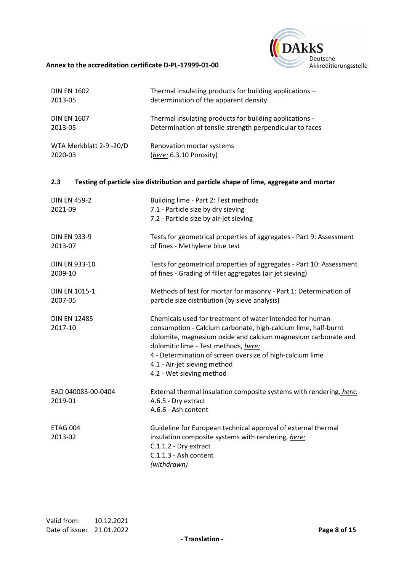

| <b>DIN EN 1602</b>             | Thermal insulating products for building applications -                                                                                                                                                                                                                                                                                                      |
|--------------------------------|--------------------------------------------------------------------------------------------------------------------------------------------------------------------------------------------------------------------------------------------------------------------------------------------------------------------------------------------------------------|
| 2013-05                        | determination of the apparent density                                                                                                                                                                                                                                                                                                                        |
| <b>DIN EN 1607</b>             | Thermal insulating products for building applications -                                                                                                                                                                                                                                                                                                      |
| 2013-05                        | Determination of tensile strength perpendicular to faces                                                                                                                                                                                                                                                                                                     |
| WTA Merkblatt 2-9 -20/D        | Renovation mortar systems                                                                                                                                                                                                                                                                                                                                    |
| 2020-03                        | (here: 6.3.10 Porosity)                                                                                                                                                                                                                                                                                                                                      |
| 2.3                            | Testing of particle size distribution and particle shape of lime, aggregate and mortar                                                                                                                                                                                                                                                                       |
| <b>DIN EN 459-2</b><br>2021-09 | Building lime - Part 2: Test methods<br>7.1 - Particle size by dry sieving<br>7.2 - Particle size by air-jet sieving                                                                                                                                                                                                                                         |
| <b>DIN EN 933-9</b>            | Tests for geometrical properties of aggregates - Part 9: Assessment                                                                                                                                                                                                                                                                                          |
| 2013-07                        | of fines - Methylene blue test                                                                                                                                                                                                                                                                                                                               |
| DIN EN 933-10                  | Tests for geometrical properties of aggregates - Part 10: Assessment                                                                                                                                                                                                                                                                                         |
| 2009-10                        | of fines - Grading of filler aggregates (air jet sieving)                                                                                                                                                                                                                                                                                                    |
| <b>DIN EN 1015-1</b>           | Methods of test for mortar for masonry - Part 1: Determination of                                                                                                                                                                                                                                                                                            |
| 2007-05                        | particle size distribution (by sieve analysis)                                                                                                                                                                                                                                                                                                               |
| <b>DIN EN 12485</b><br>2017-10 | Chemicals used for treatment of water intended for human<br>consumption - Calcium carbonate, high-calcium lime, half-burnt<br>dolomite, magnesium oxide and calcium magnesium carbonate and<br>dolomitic lime - Test methods, here:<br>4 - Determination of screen oversize of high-calcium lime<br>4.1 - Air-jet sieving method<br>4.2 - Wet sieving method |
| EAD 040083-00-0404<br>2019-01  | External thermal insulation composite systems with rendering, here:<br>A.6.5 - Dry extract<br>A.6.6 - Ash content                                                                                                                                                                                                                                            |
| <b>ETAG 004</b><br>2013-02     | Guideline for European technical approval of external thermal<br>insulation composite systems with rendering, here:<br>C.1.1.2 - Dry extract<br>C.1.1.3 - Ash content<br>(withdrawn)                                                                                                                                                                         |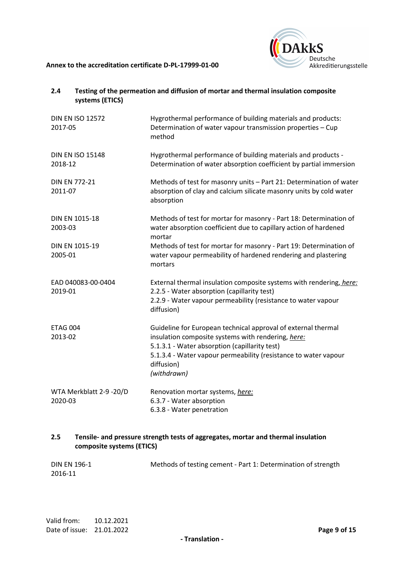

| 2.4                                | systems (ETICS) | Testing of the permeation and diffusion of mortar and thermal insulation composite                                                                                                                                                                                   |
|------------------------------------|-----------------|----------------------------------------------------------------------------------------------------------------------------------------------------------------------------------------------------------------------------------------------------------------------|
| <b>DIN EN ISO 12572</b><br>2017-05 |                 | Hygrothermal performance of building materials and products:<br>Determination of water vapour transmission properties - Cup<br>method                                                                                                                                |
| <b>DIN EN ISO 15148</b><br>2018-12 |                 | Hygrothermal performance of building materials and products -<br>Determination of water absorption coefficient by partial immersion                                                                                                                                  |
| <b>DIN EN 772-21</b><br>2011-07    |                 | Methods of test for masonry units - Part 21: Determination of water<br>absorption of clay and calcium silicate masonry units by cold water<br>absorption                                                                                                             |
| DIN EN 1015-18<br>2003-03          |                 | Methods of test for mortar for masonry - Part 18: Determination of<br>water absorption coefficient due to capillary action of hardened<br>mortar                                                                                                                     |
| DIN EN 1015-19<br>2005-01          |                 | Methods of test for mortar for masonry - Part 19: Determination of<br>water vapour permeability of hardened rendering and plastering<br>mortars                                                                                                                      |
| EAD 040083-00-0404<br>2019-01      |                 | External thermal insulation composite systems with rendering, here:<br>2.2.5 - Water absorption (capillarity test)<br>2.2.9 - Water vapour permeability (resistance to water vapour<br>diffusion)                                                                    |
| <b>ETAG 004</b><br>2013-02         |                 | Guideline for European technical approval of external thermal<br>insulation composite systems with rendering, here:<br>5.1.3.1 - Water absorption (capillarity test)<br>5.1.3.4 - Water vapour permeability (resistance to water vapour<br>diffusion)<br>(withdrawn) |
| WTA Merkblatt 2-9 -20/D<br>2020-03 |                 | Renovation mortar systems, here:<br>6.3.7 - Water absorption<br>6.3.8 - Water penetration                                                                                                                                                                            |

## **2.5 Tensile- and pressure strength tests of aggregates, mortar and thermal insulation composite systems (ETICS)**

| <b>DIN EN 196-1</b> | Methods of testing cement - Part 1: Determination of strength |
|---------------------|---------------------------------------------------------------|
| 2016-11             |                                                               |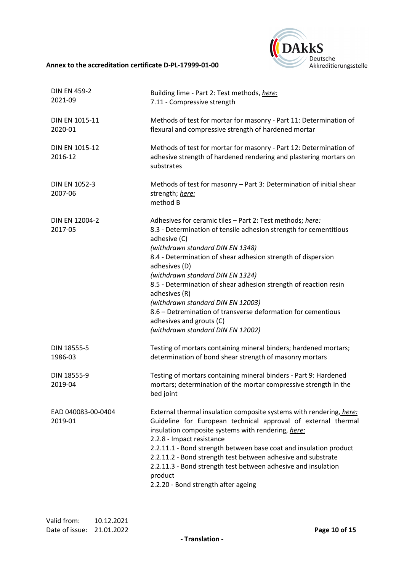

| <b>DIN EN 459-2</b><br>2021-09  | Building lime - Part 2: Test methods, here:<br>7.11 - Compressive strength                                                                                                                                                                                                                                                                                                                                                                                                                                                                                         |
|---------------------------------|--------------------------------------------------------------------------------------------------------------------------------------------------------------------------------------------------------------------------------------------------------------------------------------------------------------------------------------------------------------------------------------------------------------------------------------------------------------------------------------------------------------------------------------------------------------------|
| DIN EN 1015-11<br>2020-01       | Methods of test for mortar for masonry - Part 11: Determination of<br>flexural and compressive strength of hardened mortar                                                                                                                                                                                                                                                                                                                                                                                                                                         |
| DIN EN 1015-12<br>2016-12       | Methods of test for mortar for masonry - Part 12: Determination of<br>adhesive strength of hardened rendering and plastering mortars on<br>substrates                                                                                                                                                                                                                                                                                                                                                                                                              |
| <b>DIN EN 1052-3</b><br>2007-06 | Methods of test for masonry - Part 3: Determination of initial shear<br>strength; here:<br>method B                                                                                                                                                                                                                                                                                                                                                                                                                                                                |
| DIN EN 12004-2<br>2017-05       | Adhesives for ceramic tiles - Part 2: Test methods; here:<br>8.3 - Determination of tensile adhesion strength for cementitious<br>adhesive (C)<br>(withdrawn standard DIN EN 1348)<br>8.4 - Determination of shear adhesion strength of dispersion<br>adhesives (D)<br>(withdrawn standard DIN EN 1324)<br>8.5 - Determination of shear adhesion strength of reaction resin<br>adhesives (R)<br>(withdrawn standard DIN EN 12003)<br>8.6 – Detremination of transverse deformation for cementious<br>adhesives and grouts (C)<br>(withdrawn standard DIN EN 12002) |
| DIN 18555-5<br>1986-03          | Testing of mortars containing mineral binders; hardened mortars;<br>determination of bond shear strength of masonry mortars                                                                                                                                                                                                                                                                                                                                                                                                                                        |
| DIN 18555-9<br>2019-04          | Testing of mortars containing mineral binders - Part 9: Hardened<br>mortars; determination of the mortar compressive strength in the<br>bed joint                                                                                                                                                                                                                                                                                                                                                                                                                  |
| EAD 040083-00-0404<br>2019-01   | External thermal insulation composite systems with rendering, here:<br>Guideline for European technical approval of external thermal<br>insulation composite systems with rendering, here:<br>2.2.8 - Impact resistance<br>2.2.11.1 - Bond strength between base coat and insulation product<br>2.2.11.2 - Bond strength test between adhesive and substrate<br>2.2.11.3 - Bond strength test between adhesive and insulation<br>product<br>2.2.20 - Bond strength after ageing                                                                                    |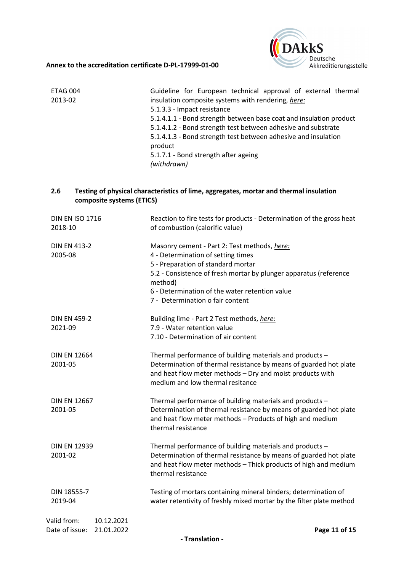

| ETAG 004 | Guideline for European technical approval of external thermal      |
|----------|--------------------------------------------------------------------|
| 2013-02  | insulation composite systems with rendering, here:                 |
|          | 5.1.3.3 - Impact resistance                                        |
|          | 5.1.4.1.1 - Bond strength between base coat and insulation product |
|          | 5.1.4.1.2 - Bond strength test between adhesive and substrate      |
|          | 5.1.4.1.3 - Bond strength test between adhesive and insulation     |
|          | product                                                            |
|          | 5.1.7.1 - Bond strength after ageing                               |
|          | (withdrawn)                                                        |

## **2.6 Testing of physical characteristics of lime, aggregates, mortar and thermal insulation composite systems (ETICS)**

| <b>DIN EN ISO 1716</b><br>2018-10                         | Reaction to fire tests for products - Determination of the gross heat<br>of combustion (calorific value)                                                                                                                                                                                       |
|-----------------------------------------------------------|------------------------------------------------------------------------------------------------------------------------------------------------------------------------------------------------------------------------------------------------------------------------------------------------|
| <b>DIN EN 413-2</b><br>2005-08                            | Masonry cement - Part 2: Test methods, here:<br>4 - Determination of setting times<br>5 - Preparation of standard mortar<br>5.2 - Consistence of fresh mortar by plunger apparatus (reference<br>method)<br>6 - Determination of the water retention value<br>7 - Determination o fair content |
| <b>DIN EN 459-2</b><br>2021-09                            | Building lime - Part 2 Test methods, here:<br>7.9 - Water retention value<br>7.10 - Determination of air content                                                                                                                                                                               |
| <b>DIN EN 12664</b><br>2001-05                            | Thermal performance of building materials and products -<br>Determination of thermal resistance by means of guarded hot plate<br>and heat flow meter methods - Dry and moist products with<br>medium and low thermal resitance                                                                 |
| <b>DIN EN 12667</b><br>2001-05                            | Thermal performance of building materials and products -<br>Determination of thermal resistance by means of guarded hot plate<br>and heat flow meter methods - Products of high and medium<br>thermal resistance                                                                               |
| <b>DIN EN 12939</b><br>2001-02                            | Thermal performance of building materials and products -<br>Determination of thermal resistance by means of guarded hot plate<br>and heat flow meter methods - Thick products of high and medium<br>thermal resistance                                                                         |
| DIN 18555-7<br>2019-04                                    | Testing of mortars containing mineral binders; determination of<br>water retentivity of freshly mixed mortar by the filter plate method                                                                                                                                                        |
| Valid from:<br>10.12.2021<br>Date of issue:<br>21.01.2022 | Page 11 of 15                                                                                                                                                                                                                                                                                  |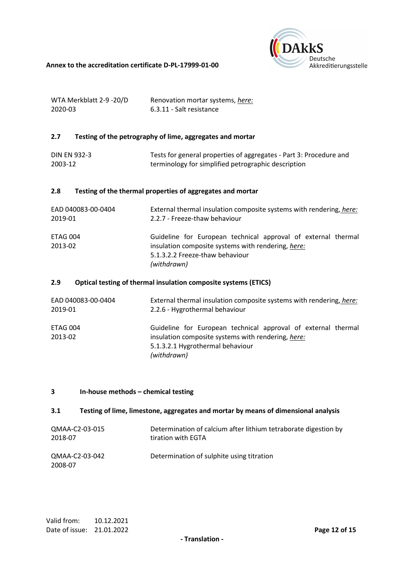

| WTA Merkblatt 2-9 -20/D | Renovation mortar systems, here: |
|-------------------------|----------------------------------|
| 2020-03                 | 6.3.11 - Salt resistance         |

#### **2.7 Testing of the petrography of lime, aggregates and mortar**

| <b>DIN EN 932-3</b> | Tests for general properties of aggregates - Part 3: Procedure and |
|---------------------|--------------------------------------------------------------------|
| 2003-12             | terminology for simplified petrographic description                |

## **2.8 Testing of the thermal properties of aggregates and mortar**

| EAD 040083-00-0404  | External thermal insulation composite systems with rendering, here:                                                                                                   |
|---------------------|-----------------------------------------------------------------------------------------------------------------------------------------------------------------------|
| 2019-01             | 2.2.7 - Freeze-thaw behaviour                                                                                                                                         |
| ETAG 004<br>2013-02 | Guideline for European technical approval of external thermal<br>insulation composite systems with rendering, here:<br>5.1.3.2.2 Freeze-thaw behaviour<br>(withdrawn) |

#### **2.9 Optical testing of thermal insulation composite systems (ETICS)**

| EAD 040083-00-0404<br>2019-01 | External thermal insulation composite systems with rendering, here:<br>2.2.6 - Hygrothermal behaviour |
|-------------------------------|-------------------------------------------------------------------------------------------------------|
| ETAG 004                      | Guideline for European technical approval of external thermal                                         |
| 2013-02                       | insulation composite systems with rendering, here:                                                    |
|                               | 5.1.3.2.1 Hygrothermal behaviour                                                                      |
|                               | (withdrawn)                                                                                           |

#### **3 In-house methods – chemical testing**

#### **3.1 Testing of lime, limestone, aggregates and mortar by means of dimensional analysis**

| QMAA-C2-03-015            | Determination of calcium after lithium tetraborate digestion by |
|---------------------------|-----------------------------------------------------------------|
| 2018-07                   | tiration with EGTA                                              |
| QMAA-C2-03-042<br>2008-07 | Determination of sulphite using titration                       |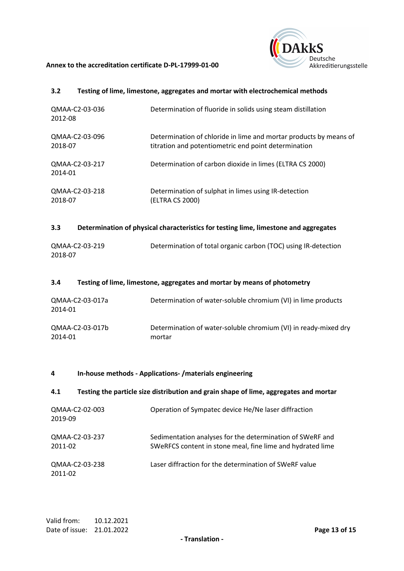

#### **3.2 Testing of lime, limestone, aggregates and mortar with electrochemical methods**

| QMAA-C2-03-036<br>2012-08 | Determination of fluoride in solids using steam distillation      |
|---------------------------|-------------------------------------------------------------------|
| QMAA-C2-03-096            | Determination of chloride in lime and mortar products by means of |
| 2018-07                   | titration and potentiometric end point determination              |
| QMAA-C2-03-217<br>2014-01 | Determination of carbon dioxide in limes (ELTRA CS 2000)          |
| QMAA-C2-03-218            | Determination of sulphat in limes using IR-detection              |
| 2018-07                   | (ELTRA CS 2000)                                                   |

#### **3.3 Determination of physical characteristics for testing lime, limestone and aggregates**

| QMAA-C2-03-219 | Determination of total organic carbon (TOC) using IR-detection |
|----------------|----------------------------------------------------------------|
| 2018-07        |                                                                |

#### **3.4 Testing of lime, limestone, aggregates and mortar by means of photometry**

| QMAA-C2-03-017a<br>2014-01 | Determination of water-soluble chromium (VI) in lime products   |
|----------------------------|-----------------------------------------------------------------|
| QMAA-C2-03-017b            | Determination of water-soluble chromium (VI) in ready-mixed dry |
| 2014-01                    | mortar                                                          |

#### **4 In-house methods - Applications- /materials engineering**

#### **4.1 Testing the particle size distribution and grain shape of lime, aggregates and mortar**

| QMAA-C2-02-003<br>2019-09 | Operation of Sympatec device He/Ne laser diffraction                                                                    |
|---------------------------|-------------------------------------------------------------------------------------------------------------------------|
| QMAA-C2-03-237<br>2011-02 | Sedimentation analyses for the determination of SWeRF and<br>SWeRFCS content in stone meal, fine lime and hydrated lime |
| QMAA-C2-03-238<br>2011-02 | Laser diffraction for the determination of SWeRF value                                                                  |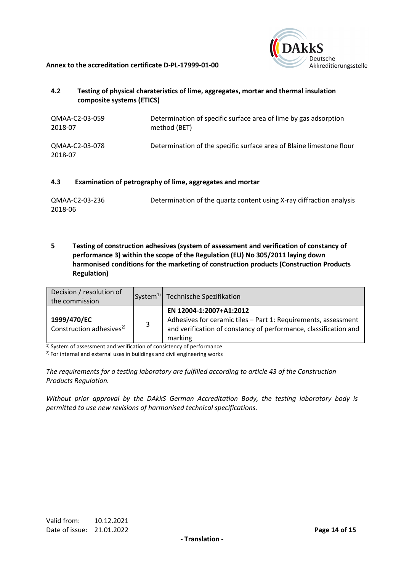



## **4.2 Testing of physical charateristics of lime, aggregates, mortar and thermal insulation composite systems (ETICS)**

| QMAA-C2-03-059            | Determination of specific surface area of lime by gas adsorption     |
|---------------------------|----------------------------------------------------------------------|
| 2018-07                   | method (BET)                                                         |
| QMAA-C2-03-078<br>2018-07 | Determination of the specific surface area of Blaine limestone flour |

#### **4.3 Examination of petrography of lime, aggregates and mortar**

| QMAA-C2-03-236 | Determination of the quartz content using X-ray diffraction analysis |
|----------------|----------------------------------------------------------------------|
| 2018-06        |                                                                      |

**5 Testing of construction adhesives (system of assessment and verification of constancy of performance 3) within the scope of the Regulation (EU) No 305/2011 laying down harmonised conditions for the marketing of construction products (Construction Products Regulation)** 

| Decision / resolution of<br>the commission          |   | System <sup>1)</sup> Technische Spezifikation                                                                                                                            |
|-----------------------------------------------------|---|--------------------------------------------------------------------------------------------------------------------------------------------------------------------------|
| 1999/470/EC<br>Construction adhesives <sup>2)</sup> | 3 | EN 12004-1:2007+A1:2012<br>Adhesives for ceramic tiles - Part 1: Requirements, assessment<br>and verification of constancy of performance, classification and<br>marking |

 $1)$  System of assessment and verification of consistency of performance

 $2$ ) For internal and external uses in buildings and civil engineering works

*The requirements for a testing laboratory are fulfilled according to article 43 of the Construction Products Regulation.* 

*Without prior approval by the DAkkS German Accreditation Body, the testing laboratory body is permitted to use new revisions of harmonised technical specifications.*